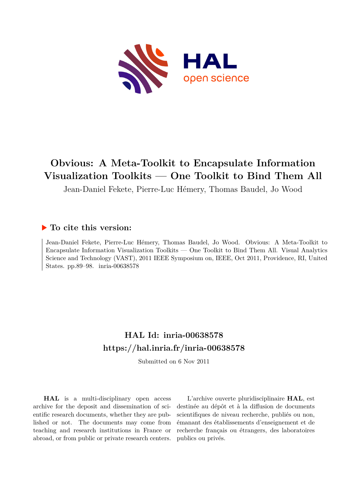<span id="page-0-0"></span>

# **Obvious: A Meta-Toolkit to Encapsulate Information Visualization Toolkits — One Toolkit to Bind Them All**

Jean-Daniel Fekete, Pierre-Luc Hémery, Thomas Baudel, Jo Wood

# **To cite this version:**

Jean-Daniel Fekete, Pierre-Luc Hémery, Thomas Baudel, Jo Wood. Obvious: A Meta-Toolkit to Encapsulate Information Visualization Toolkits — One Toolkit to Bind Them All. Visual Analytics Science and Technology (VAST), 2011 IEEE Symposium on, IEEE, Oct 2011, Providence, RI, United States. pp.89–98. inria-00638578

# **HAL Id: inria-00638578 <https://hal.inria.fr/inria-00638578>**

Submitted on 6 Nov 2011

**HAL** is a multi-disciplinary open access archive for the deposit and dissemination of scientific research documents, whether they are published or not. The documents may come from teaching and research institutions in France or abroad, or from public or private research centers.

L'archive ouverte pluridisciplinaire **HAL**, est destinée au dépôt et à la diffusion de documents scientifiques de niveau recherche, publiés ou non, émanant des établissements d'enseignement et de recherche français ou étrangers, des laboratoires publics ou privés.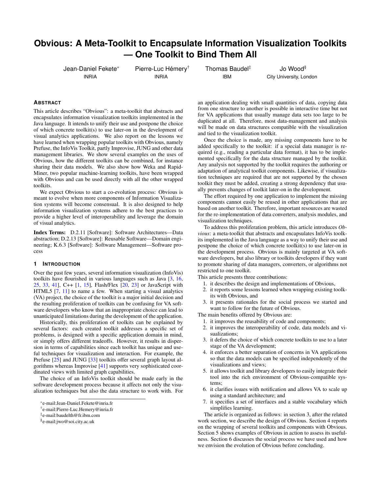# **Obvious: A Meta-Toolkit to Encapsulate Information Visualization Toolkits — One Toolkit to Bind Them All**

Jean-Daniel Fekete<sup>∗</sup> INRIA

Pierre-Luc Hémery<sup>†</sup> INRIA

Thomas Baudel<sup>‡</sup> IBM

Jo Wood§ City University, London

# **ABSTRACT**

This article describes "Obvious": a meta-toolkit that abstracts and encapsulates information visualization toolkits implemented in the Java language. It intends to unify their use and postpone the choice of which concrete toolkit(s) to use later-on in the development of visual analytics applications. We also report on the lessons we have learned when wrapping popular toolkits with Obvious, namely Prefuse, the InfoVis Toolkit, partly Improvise, JUNG and other data management libraries. We show several examples on the uses of Obvious, how the different toolkits can be combined, for instance sharing their data models. We also show how Weka and Rapid-Miner, two popular machine-learning toolkits, have been wrapped with Obvious and can be used directly with all the other wrapped toolkits.

We expect Obvious to start a co-evolution process: Obvious is meant to evolve when more components of Information Visualization systems will become consensual. It is also designed to help information visualization systems adhere to the best practices to provide a higher level of interoperability and leverage the domain of visual analytics.

Index Terms: D.2.11 [Software]: Software Architectures—Data abstraction; D.2.13 [Software]: Reusable Software—Domain engineering; K.6.3 [Software]: Software Management—Software process

## **1 INTRODUCTION**

Over the past few years, several information visualization (InfoVis) toolkits have flourished in various languages such as Java [3, 16, 25, 33, 41], C++ [1, 15], Flash/Flex [20, 23] or JavaScript with HTML5 [7, 11] to name a few. When starting a visual analytics (VA) project, the choice of the toolkit is a major initial decision and the resulting proliferation of toolkits can be confusing for VA software developers who know that an inappropriate choice can lead to unanticipated limitations during the development of the application.

Historically, this proliferation of toolkits can be explained by several factors: each created toolkit addresses a specific set of problems, is designed with a specific application domain in mind, or simply offers different tradeoffs. However, it results in dispersion in terms of capabilities since each toolkit has unique and useful techniques for visualization and interaction. For example, the Prefuse [25] and JUNG [33] toolkits offer several graph layout algorithms whereas Improvise [41] supports very sophisticated coordinated views with limited graph capabilities.

The choice of an InfoVis toolkit should be made early in the software development process because it affects not only the visualization techniques but also the data structure to work with. For

an application dealing with small quantities of data, copying data from one structure to another is possible in interactive time but not for VA applications that usually manage data sets too large to be duplicated at all. Therefore, most data-management and analysis will be made on data structures compatible with the visualization and tied to the visualization toolkit.

Once the choice is made, any missing components have to be added specifically to the toolkit: if a special data manager is required (e.g., reading a particular data format), it has to be implemented specifically for the data structure managed by the toolkit. Any analysis not supported by the toolkit requires the authoring or adaptation of analytical toolkit components. Likewise, if visualization techniques are required that are not supported by the chosen toolkit they must be added, creating a strong dependency that usually prevents changes of toolkit later-on in the development.

The effort required by one application to implement the missing components cannot easily be reused in other applications that are based on another toolkit. Therefore, important resources are wasted for the re-implementation of data converters, analysis modules, and visualization techniques.

To address this proliferation problem, this article introduces *Obvious*: a meta-toolkit that abstracts and encapsulates InfoVis toolkits implemented in the Java language as a way to unify their use and postpone the choice of which concrete toolkit(s) to use later-on in the development process. Obvious is mainly targeted at VA software developers, but also library or toolkits developers if they want to promote sharing of data managers, converters, or algorithms not restricted to one toolkit.

This article presents three contributions:

- 1. it describes the design and implementations of Obvious,
- 2. it reports some lessons learned when wrapping existing toolkits with Obvious, and
- 3. it presents rationales for the social process we started and want to follow for the future of Obvious.

The main benefits offered by Obvious are:

- 1. it improves the reusability of code and components;
- 2. it improves the interoperability of code, data models and visualizations;
- 3. it defers the choice of which concrete toolkits to use to a later stage of the VA development;
- 4. it enforces a better separation of concerns in VA applications so that the data models can be specified independently of the visualizations and views;
- 5. it allows toolkit and library developers to easily integrate their tool into the rich environment of Obvious-compatible systems;
- 6. it clarifies issues with notification and allows VA to scale up using a standard architecture; and
- 7. it specifies a set of interfaces and a stable vocabulary which simplifies learning.

The article is organized as follows: in section 3, after the related work section, we describe the design of Obvious. Section 4 reports on the wrapping of several toolkits and components with Obvious. Section 5 shows examples of Obvious in action to assess its usefulness. Section 6 discusses the social process we have used and how we envision the evolution of Obvious before concluding.

<sup>∗</sup> e-mail:Jean-Daniel.Fekete@inria.fr

<sup>†</sup> e-mail:Pierre-Luc.Hemery@inria.fr

<sup>‡</sup> e-mail:baudelth@fr.ibm.com

<sup>§</sup> e-mail:jwo@soi.city.ac.uk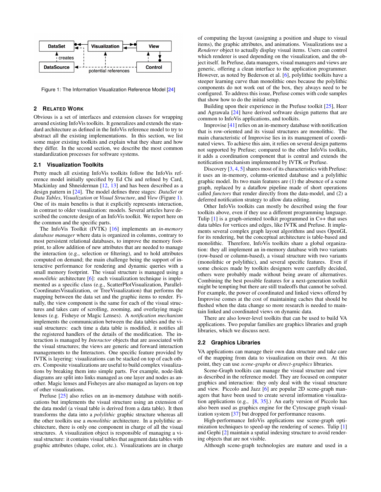

Figure 1: The Information Visualization Reference Model [24]

# **2 RELATED WORK**

Obvious is a set of interfaces and extension classes for wrapping around existing InfoVis toolkits. It generalizes and extends the standard architecture as defined in the InfoVis reference model to try to abstract all the existing implementations. In this section, we list some major existing toolkits and explain what they share and how they differ. In the second section, we describe the most common standardization processes for software systems.

#### **2.1 Visualization Toolkits**

Pretty much all existing InfoVis toolkits follow the InfoVis reference model initially specified by Ed Chi and refined by Card, Mackinlay and Shneiderman  $[12, 13]$  and has been described as a design pattern in [24]. The model defines three stages: *DataSet* or *Data Tables*, *Visualization* or *Visual Structure*, and *View* (Figure 1). One of its main benefits is that it explicitly represents interaction, in contrast to older visualization: models. Several articles have described the concrete design of an InfoVis toolkit. We report here on the common and the specific parts.

The InfoVis Toolkit (IVTK) [16] implements an *in-memory database manager* where data is organized in columns, contrary to most persistent relational databases, to improve the memory footprint, to allow addition of new attributes that are needed to manage the interaction (e.g., selection or filtering), and to hold attributes computed on demand; the main challenge being the support of interactive performance for rendering and dynamic queries with a small memory footprint. The visual structure is managed using a *monolithic* architecture [6]: each visualization technique is implemented as a specific class (e.g., ScatterPlotVisualization, Parallel-CoordinatesVisualization, or TreeVisualization) that performs the mapping between the data set and the graphic items to render. Finally, the view component is the same for each of the visual structures and takes care of scrolling, zooming, and overlaying magic lenses (e.g. Fisheye or Magic Lenses). A *notification mechanism* implements the communication between the data tables and the visual structures: each time a data table is modified, it notifies all the registered handlers of the details of the modification. The interaction is managed by *Interactor* objects that are associated with the visual structures; the views are generic and forward interaction managements to the Interactors. One specific feature provided by IVTK is layering: visualizations can be stacked on top of each others. Composite visualizations are useful to build complex visualizations by breaking them into simple parts. For example, node-link diagrams are split into links managed as one layer and nodes as another. Magic lenses and Fisheyes are also managed as layers on top of other visualizations.

Prefuse [25] also relies on an in-memory database with notifications but implements the visual structure using an extension of the data model (a visual table is derived from a data table). It then transforms the data into a *polylithic* graphic structure whereas all the other toolkits use a *monolithic* architecture. In a polylithic architecture, there is only one component in charge of all the visual structures. A visualization object is responsible of managing a visual structure: it contains visual tables that augment data tables with graphic attributes (shape, color, etc.). Visualizations are in charge

of computing the layout (assigning a position and shape to visual items), the graphic attributes, and animations. Visualizations use a *Renderer* object to actually display visual items. Users can control which renderer is used depending on the visualization, and the object itself. In Prefuse, data managers, visual managers and views are generic, offering a clean interface to the application programmer. However, as noted by Bederson et al. [6], polylithic toolkits have a steeper learning curve than monolithic ones because the polylithic components do not work out of the box, they always need to be configured. To address this issue, Prefuse comes with code samples that show how to do the initial setup.

Building upon their experience in the Prefuse toolkit [25], Heer and Agrawala [24] have derived software design patterns that are common to InfoVis applications, and toolkits.

Improvise [41] relies on an in-memory database with notification that is row-oriented and its visual structures are monolithic. The main characteristic of Improvise lies in its management of coordinated views. To achieve this aim, it relies on several design patterns not supported by Prefuse; compared to the other InfoVis toolkits, it adds a coordination component that is central and extends the notification mechanism implemented by IVTK or Prefuse.

Discovery [3, 4, 5] shares most of its characteristics with Prefuse: it uses an in-memory, column-oriented database and a polylithic graphic model. Its two main features are (1) the absence of a scene graph, replaced by a dataflow pipeline made of short operations called *functors* that render directly from the data-model, and (2) a deferred notification strategy to allow data editing.

Other InfoVis toolkits can mostly be described using the four toolkits above, even if they use a different programming language. Tulip [1] is a graph-oriented toolkit programmed in C++ that uses data tables for vertices and edges, like IVTK and Prefuse. It implements several complex graph layout algorithms and uses OpenGL for its rendering, but the conceptual architecture is table-based and monolithic. Therefore, InfoVis toolkits share a global organization: they all implement an in-memory database with two variants (row-based or column-based), a visual structure with two variants (monolithic or polylithic), and several specific features. Even if some choices made by toolkits designers were carefully decided, others were probably made without being aware of alternatives. Combining the best possible features for a next-generation toolkit might be tempting but there are still tradeoffs that cannot be solved. For example, the power of coordinated and linked views offered by Improvise comes at the cost of maintaining caches that should be flushed when the data change so more research is needed to maintain linked and coordinated views on dynamic data.

There are also lower-level toolkits that can be used to build VA applications. Two popular families are graphics libraries and graph libraries, which we discuss next.

#### **2.2 Graphics Libraries**

VA applications can manage their own data structure and take care of the mapping from data to visualization on their own. At this point, they can use *scene-graphs* or *direct-graphics* libraries.

Scene-Graph toolkits can manage the visual structure and view as described in the reference model. They are focused on computer graphics and interaction: they only deal with the visual structure and view. Piccolo and Jazz [6] are popular 2D scene-graph managers that have been used to create several information visualization applications (e.g., [8, 35].) An early version of Piccolo has also been used as graphics engine for the Cytoscape graph visualization system [37] but dropped for performance reasons.

High-performance InfoVis applications use scene-graph optimization techniques to speed-up the rendering of scenes. Tulip [1] and Gephi [2] maintain a spatial indexing structure to avoid rendering objects that are not visible.

Although scene-graph technologies are mature and used in a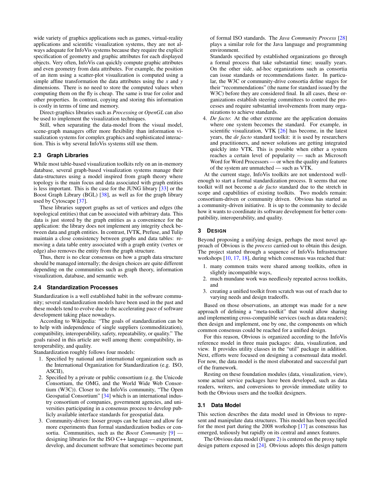wide variety of graphics applications such as games, virtual-reality applications and scientific visualization systems, they are not always adequate for InfoVis systems because they require the explicit specification of geometry and graphic attributes for each displayed objects. Very often, InfoVis can quickly compute graphic attributes and even geometry from data attributes. For example, the position of an item using a scatter-plot visualization is computed using a simple affine transformation the data attributes using the *x* and *y* dimensions. There is no need to store the computed values when computing them on the fly is cheap. The same is true for color and other properties. In contrast, copying and storing this information is costly in terms of time and memory.

Direct-graphics libraries such as *Processing* or *OpenGL* can also be used to implement the visualization techniques.

Still, when separating the data-model from the visual model, scene-graph managers offer more flexibility than information visualization systems for complex graphics and sophisticated interaction. This is why several InfoVis systems still use them.

## **2.3 Graph Libraries**

While most table-based visualization toolkits rely on an in-memory database, several graph-based visualization systems manage their data-structures using a model inspired from graph theory where topology is the main focus and data associated with graph entities is less important. This is the case for the JUNG library [33] or the Boost Graph Library (BGL) [38], as well as for the graph library used by Cytoscape [37].

These libraries support graphs as set of vertices and edges (the topological entities) that can be associated with arbitrary data. This data is just stored by the graph entities as a convenience for the application: the library does not implement any integrity check between data and graph entities. In contrast, IVTK, Prefuse, and Tulip maintain a close consistency between graphs and data tables: removing a data table entry associated with a graph entity (vertex or edge) also removes the entity from the graph structure.

Thus, there is no clear consensus on how a graph data structure should be managed internally; the design choices are quite different depending on the communities such as graph theory, information visualization, database, and semantic web.

# **2.4 Standardization Processes**

Standardization is a well established habit in the software community; several standardization models have been used in the past and these models tend to evolve due to the accelerating pace of software development taking place nowadays.

According to Wikipedia: "The goals of standardization can be to help with independence of single suppliers (commoditization), compatibility, interoperability, safety, repeatability, or quality." The goals raised in this article are well among them: compatibility, interoperability, and quality.

Standardization roughly follows four models:

- 1. Specified by national and international organization such as the International Organization for Standardization (e.g. ISO, ASCII),
- 2. Specified by a private or public consortium (e.g. the Unicode Consortium, the OMG, and the World Wide Web Consortium (W3C)). Closer to the InfoVis community, "The Open Geospatial Consortium" [34] which is an international industry consortium of companies, government agencies, and universities participating in a consensus process to develop publicly available interface standards for geospatial data.
- 3. Community-driven: looser groups can be faster and allow for more experiments than formal standardization bodies or consortia. Communities, such as the *Boost Community* [9] designing libraries for the ISO C++ language — experiment, develop, and document software that sometimes become part

of formal ISO standards. The *Java Community Process* [28] plays a similar role for the Java language and programming environment.

Standards specified by established organizations go through a formal process that take substantial time; usually years. On the other side, ad-hoc organizations such as consortia can issue standards or recommendations faster. In particular, the W3C or community-drive consortia define stages for their "recommendations" (the name for standard issued by the W<sub>3</sub>C) before they are considered final. In all cases, these organizations establish steering committees to control the processes and require substantial involvements from many organizations to achieve standards.

4. *De facto*: At the other extreme are the application domains where one system becomes the standard. For example, in scientific visualization, VTK [26] has become, in the latest years, the *de facto* standard toolkit: it is used by researchers and practitioners, and newer solutions are getting integrated quickly into VTK. This is possible when either a system reaches a certain level of popularity — such as Microsoft Word for Word Processors — or when the quality and features of the system are unmatched — such as VTK.

At the current stage, InfoVis toolkits are not understood wellenough to start a formal standardization process. It seems that one toolkit will not become a *de facto* standard due to the stretch in scope and capabilities of existing toolkits. Two models remain: consortium-driven or community driven. Obvious has started as a community-driven initiative. It is up to the community to decide how it wants to coordinate its software development for better compatibility, interoperability, and quality.

## **3 DESIGN**

Beyond proposing a unifying design, perhaps the most novel approach of Obvious is the *process* carried-out to obtain this design. The project started through a sequence of InfoVis Infrastructure workshops [10, 17, 18], during which consensus was reached that:

- 1. many common traits were shared among toolkits, often in slightly incompatible ways,
- 2. much mundane work was needlessly repeated across toolkits, and
- 3. creating a unified toolkit from scratch was out of reach due to varying needs and design tradeoffs.

Based on those observations, an attempt was made for a new approach of defining a "meta-toolkit" that would allow sharing and implementing cross-compatible services (such as data readers); then design and implement, one by one, the components on which common consensus could be reached for a unified design.

For this reason, Obvious is organized according to the InfoVis reference model in three main packages: data, visualization, and view. It provides utility classes in the "util" package in addition. Next, efforts were focused on designing a consensual data model. For now, the data model is the most elaborated and successful part of the framework.

Resting on these foundation modules (data, visualization, view), some actual service packages have been developed, such as data readers, writers, and conversions to provide immediate utility to both the Obvious users and the toolkit designers.

# **3.1 Data Model**

This section describes the data model used in Obvious to represent and manipulate data structures. This model has been specified for the most part during the 2008 workshop [17] as consensus has emerged, tediously but rapidly on its central and annex features.

The Obvious data model (Figure 2) is centered on the proxy tuple design pattern exposed in [24]. Obvious adopts this design pattern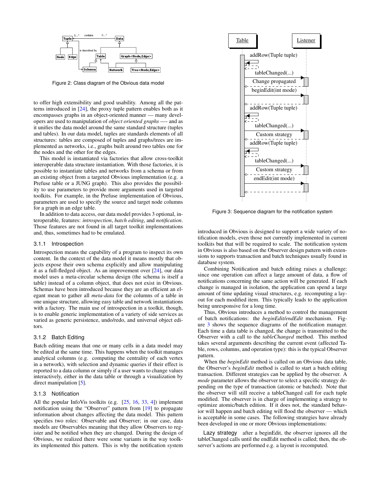

Figure 2: Class diagram of the Obvious data model

to offer high extensibility and good usability. Among all the patterns introduced in [24], the proxy tuple pattern enables both as it encompasses graphs in an object-oriented manner — many developers are used to manipulation of *object oriented graphs* —- and as it unifies the data model around the same standard structure (tuples and tables). In our data model, tuples are standards elements of all structures: tables are composed of tuples and graphs/trees are implemented as networks, i.e., graphs built around two tables one for the nodes and the other for the edges.

This model is instantiated via factories that allow cross-toolkit interoperable data structure instantiation. With those factories, it is possible to instantiate tables and networks from a schema or from an existing object from a targeted Obvious implementation (e.g. a Prefuse table or a JUNG graph). This also provides the possibility to use parameters to provide more arguments used in targeted toolkits. For example, in the Prefuse implementation of Obvious, parameters are used to specify the source and target node columns for a graph in an edge table.

In addition to data access, our data model provides 3 optional, interoperable, features: *introspection*, *batch editing*, and *notification*. Those features are not found in all target toolkit implementations and, thus, sometimes had to be emulated.

#### 3.1.1 Introspection

Introspection means the capability of a program to inspect its own content. In the context of the data model it means mostly that objects expose their own schema explicitly and allow manipulating it as a full-fledged object. As an improvement over [24], our data model uses a meta-circular schema design (the schema is itself a table) instead of a column object, that does not exist in Obvious. Schemas have been introduced because they are an efficient an elegant mean to gather all *meta-data* for the columns of a table in one unique structure, allowing easy table and network instantiations with a factory. The main use of introspection in a toolkit, though, is to enable generic implementation of a variety of side services as varied as generic persistence, undo/redo, and universal object editors.

#### 3.1.2 Batch Editing

Batch editing means that one or many cells in a data model may be edited at the same time. This happens when the toolkit manages analytical columns (e.g. computing the centrality of each vertex in a network), with selection and dynamic queries if their effect is reported to a data column or simply if a user wants to change values interactively, either in the data table or through a visualization by direct manipulation [5].

#### 3.1.3 Notification

All the popular InfoVis toolkits (e.g. [25, 16, 33, 4]) implement notification using the "Observer" pattern from [19] to propagate information about changes affecting the data model. This pattern specifies two roles: Observable and Observer; in our case, data models are Observables meaning that they allow Observers to register and be notified when they are changed. During the design of Obvious, we realized there were some variants in the way toolkits implemented this pattern. This is why the notification system



Figure 3: Sequence diagram for the notification system

introduced in Obvious is designed to support a wide variety of notification models, even those not currently implemented in current toolkits but that will be required to scale. The notification system in Obvious is also based on the Observer design pattern with extensions to supports transaction and batch techniques usually found in database system.

Combining Notification and batch editing raises a challenge: since one operation can affect a large amount of data, a flow of notifications concerning the same action will be generated. If each change is managed in isolation, the application can spend a large amount of time updating visual structures, e.g. recomputing a layout for each modified item. This typically leads to the application being unresponsive for a long time.

Thus, Obvious introduces a method to control the management of batch notifications: the *beginEdit/endEdit* mechanism. Figure 3 shows the sequence diagrams of the notification manager. Each time a data table is changed, the change is transmitted to the Observer with a call to the *tableChanged* method. This method takes several arguments describing the current event (affected Table, rows, columns, and operation type): this is the typical Observer pattern.

When the *beginEdit* method is called on an Obvious data table, the Observer's *beginEdit* method is called to start a batch editing transaction. Different strategies can be applied by the observer. A *mode* parameter allows the observer to select a specific strategy depending on the type of transaction (atomic or batched). Note that the observer will still receive a tableChanged call for each tuple modified. The observer is in charge of implementing a strategy to optimize atomic/batch edition. If it does not, the standard behavior will happen and batch editing will flood the observer — which is acceptable in some cases. The following strategies have already been developed in one or more Obvious implementations:

Lazy strategy after a beginEdit, the observer ignores all the tableChanged calls until the endEdit method is called; then, the observer's actions are performed e.g. a layout is recomputed.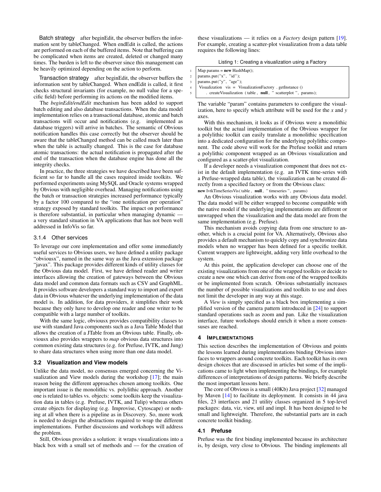Batch strategy after beginEdit, the observer buffers the information sent by tableChanged. When endEdit is called, the actions are performed on each of the buffered items. Note that buffering can be complicated when items are created, deleted or changed many times. The burden is left to the observer since this management can be heavily optimized depending on the action to perform.

Transaction strategy after beginEdit, the observer buffers the information sent by tableChanged. When endEdit is called, it first checks structural invariants (for example, no null value for a specific field) before performing its actions on the modified items.

The *beginEdit/endEdit* mechanism has been added to support batch editing and also database transactions. When the data model implementation relies on a transactional database, atomic and batch transactions will occur and notifications (e.g. implemented as database triggers) will arrive in batches. The semantic of Obvious notification handles this case correctly but the observer should be aware that the tableChanged method can be called much later than when the table is actually changed. This is the case for database atomic transactions: the actual notification is propagated after the end of the transaction when the database engine has done all the integrity checks.

In practice, the three strategies we have described have been sufficient so far to handle all the cases required inside toolkits. We performed experiments using MySQL and Oracle systems wrapped by Obvious with negligible overhead. Managing notifications using the batch or transaction strategies increased performance typically by a factor 100 compared to the "one notification per operation" strategy exposed by standard toolkits. The impact on performance is therefore substantial, in particular when managing dynamic a very standard situation in VA applications that has not been well addressed in InfoVis so far.

#### 3.1.4 Other services

To leverage our core implementation and offer some immediately useful services to Obvious users, we have defined a utility package "obviousx", named in the same way as the Java extension package "javax". This package provides different kinds of utility classes for the Obvious data model. First, we have defined reader and writer interfaces allowing the creation of gateways between the Obvious data model and common data formats such as CSV and GraphML. It provides software developers a standard way to import and export data in Obvious whatever the underlying implementation of the data model is. In addition, for data providers, it simplifies their work because they only have to develop one reader and one writer to be compatible with a large number of toolkits.

With the same logic, obviousx provides compatibility classes to use with standard Java components such as a Java Table Model that allows the creation of a JTable from an Obvious table. Finally, obviousx also provides wrappers to *map* obvious data structures into common existing data structures (e.g. for Prefuse, IVTK, and Jung) to share data structures when using more than one data model.

# **3.2 Visualization and View models**

Unlike the data model, no consensus emerged concerning the Visualization and View models during the workshop [17]; the main reason being the different approaches chosen among toolkits. One important issue is the monolithic vs. polylithic approach. Another one is related to tables vs. objects: some toolkits keep the visualization data in tables (e.g. Prefuse, IVTK, and Tulip) whereas others create objects for displaying (e.g. Improvise, Cytoscape) or nothing at all when there is a pipeline as in Discovery. So, more work is needed to design the abstractions required to wrap the different implementations. Further discussions and workshops will address the problem.

Still, Obvious provides a solution: it wraps visualizations into a black box with a small set of methods and — for the creation of these visualizations — it relies on a *Factory* design pattern [19]. For example, creating a scatter-plot visualization from a data table requires the following lines:

|  |  | Listing 1: Creating a visualization using a Factory |  |  |
|--|--|-----------------------------------------------------|--|--|
|--|--|-----------------------------------------------------|--|--|

|          | $1$ Map params = <b>new</b> HashMap();                           |
|----------|------------------------------------------------------------------|
|          | $\begin{bmatrix} \text{params.put("x", "id");} \end{bmatrix}$    |
|          | $\{$ params.put("y", "age");                                     |
|          | 4   Visualization vis = Visualization Factory . getInstance $()$ |
| $5 \mid$ | . createVisualization (table, null, "scatterplot", params);      |
|          |                                                                  |

The variable "param" contains parameters to configure the visualization, here to specify which attribute will be used for the *x* and *y* axes.

With this mechanism, it looks as if Obvious were a monolithic toolkit but the actual implementation of the Obvious wrapper for a polylithic toolkit can easily translate a monolithic specification into a dedicated configuration for the underlying polylithic component. The code above will work for the Prefuse toolkit and return a polylithic component wrapped as an Obvious visualization and configured as a scatter-plot visualization.

If a developer needs a visualization component that does not exist in the default implementation (e.g. an IVTK time-series with a Prefuse-wrapped data table), the visualization can be created directly from a specified factory or from the Obvious class: new IvtkTimeSeriesVis(table, null, "timeseries", params)

An Obvious visualization works with any Obvious data model. The data model will be either wrapped to become compatible with the native model if the underlying implementations are different or unwrapped when the visualization and the data model are from the same implementation (e.g. Prefuse).

This mechanism avoids copying data from one structure to another, which is a crucial point for VA. Alternatively, Obvious also provides a default mechanism to quickly copy and synchronize data models when no wrapper has been defined for a specific toolkit. Current wrappers are lightweight, adding very little overhead to the system.

At this point, the application developer can choose one of the existing visualizations from one of the wrapped toolkits or decide to create a new one which can derive from one of the wrapped toolkits or be implemented from scratch. Obvious substantially increases the number of possible visualizations and toolkits to use and does not limit the developer in any way at this stage.

A *View* is simply specified as a black box implementing a simplified version of the camera pattern introduced in [24] to support standard operations such as zoom and pan. Like the visualization interface, future workshops should enrich it when a more consensuses are reached.

# **4 IMPLEMENTATIONS**

This section describes the implementation of Obvious and points the lessons learned during implementations binding Obvious interfaces to wrappers around concrete toolkits. Each toolkit has its own design choices that are discussed in articles but some of the implications came to light when implementing the bindings, for example differences of interpretations of design patterns. We briefly describe the most important lessons here.

The core of Obvious is a small (40Kb) Java project [32] managed by Maven [14] to facilitate its deployment. It consists in 44 java files, 23 interfaces and 21 utility classes organized in 5 top-level packages: data, viz, view, util and impl. It has been designed to be small and lightweight. Therefore, the substantial parts are in each concrete toolkit binding.

#### **4.1 Prefuse**

Prefuse was the first binding implemented because its architecture is, by design, very close to Obvious. The binding implements all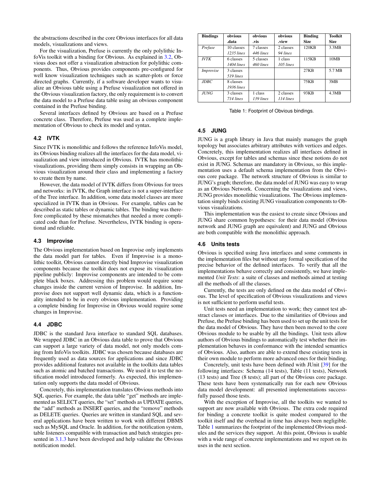the abstractions described in the core Obvious interfaces for all data models, visualizations and views.

For the visualization, Prefuse is currently the only polylithic InfoVis toolkit with a binding for Obvious. As explained in 3.2, Obvious does not offer a visualization abstraction for polylithic components. Thus, Obvious provides components pre-configured for well know visualization techniques such as scatter-plots or force directed graphs. Currently, if a software developer wants to visualize an Obvious table using a Prefuse visualization not offered in the Obvious visualization factory, the only requirement is to convert the data model to a Prefuse data table using an obvious component contained in the Prefuse binding.

Several interfaces defined by Obvious are based on a Prefuse concrete class. Therefore, Prefuse was used as a complete implementation of Obvious to check its model and syntax.

# **4.2 IVTK**

Since IVTK is monolithic and follows the reference InfoVis model, its Obvious binding realizes all the interfaces for the data model, visualization and view introduced in Obvious. IVTK has monolithic visualizations, providing them simply consists in wrapping an Obvious visualization around their class and implementing a factory to create them by name.

However, the data model of IVTK differs from Obvious for trees and networks: in IVTK, the Graph interface is not a super-interface of the Tree interface. In addition, some data model classes are more specialized in IVTK than in Obvious. For example, tables can be described as static tables or dynamic tables. The binding was therefore complicated by these mismatches that needed a more complicated code than for Prefuse. Nevertheless, IVTK binding is operational and reliable.

#### **4.3 Improvise**

The Obvious implementation based on Improvise only implements the data model part for tables. Even if Improvise is a monolithic toolkit, Obvious cannot directly bind Improvise visualization components because the toolkit does not expose its visualization pipeline publicly: Improvise components are intended to be complete black boxes. Addressing this problem would require some changes inside the current version of Improvise. In addition, Improvise does not support well dynamic data, which is a functionality intended to be in every obvious implementation. Providing a complete binding for Improvise in Obvious would require some changes in Improvise.

## **4.4 JDBC**

JDBC is the standard Java interface to standard SQL databases. We wrapped JDBC in an Obvious data table to prove that Obvious can support a large variety of data model, not only models coming from InfoVis toolkits. JDBC was chosen because databases are frequently used as data sources for applications and since JDBC provides additional features not available in the toolkits data tables such as atomic and batched transactions. We used it to test the notification model introduced formerly. As expected, this implementation only supports the data model of Obvious.

Concretely, this implementation translates Obvious methods into SQL queries. For example, the data table "get" methods are implemented as SELECT queries, the "set" methods as UPDATE queries, the "add" methods as INSERT queries, and the "remove" methods as DELETE queries. Queries are written in standard SQL and several applications have been written to work with different DBMS such as MySQL and Oracle. In addition, for the notification system, table listeners compatible with transaction and batch strategies presented in 3.1.3 have been developed and help validate the Obvious notification model.

| <b>Bindings</b> | obvious      | obvious   | obvious     | <b>Binding</b> | <b>Toolkit</b> |
|-----------------|--------------|-----------|-------------|----------------|----------------|
|                 | .data        | .vis      | .view       | <b>Size</b>    | <b>Size</b>    |
| Prefuse         | 10 classes   | 7 classes | 2 classes   | 120KB          | 3.3MB          |
|                 | $1235$ lines | 446 lines | 94 lines    |                |                |
| <b>IVTK</b>     | 6 classes    | 5 classes | 1 class     | 115KB          | 10MB           |
|                 | $1404$ lines | 460 lines | 105 lines   |                |                |
| Improvise       | 3 classes    |           |             | 27KB           | 5.7 MB         |
|                 | 519 lines    |           |             |                |                |
| <b>JDBC</b>     | 8 classes    |           |             | 75KB           | 3MB            |
|                 | 1936 lines   |           |             |                |                |
| <b>JUNG</b>     | 3 classes    | 1 class   | 2 classes   | 93KB           | 4.3MB          |
|                 | 714 lines    | 139 lines | $114$ lines |                |                |

Table 1: Footprint of Obvious bindings.

# **4.5 JUNG**

JUNG is a graph library in Java that mainly manages the graph topology but associates arbitrary attributes with vertices and edges. Concretely, this implementation realizes all interfaces defined in Obvious, except for tables and schemas since these notions do not exist in JUNG. Schemas are mandatory in Obvious, so this implementation uses a default schema implementation from the Obvious core package. The network structure of Obvious is similar to JUNG's graph; therefore, the data model of JUNG was easy to wrap as an Obvious Network. Concerning the visualizations and views, JUNG provides monolithic visualizations. The Obvious implementation simply binds existing JUNG visualization components to Obvious visualizations.

This implementation was the easiest to create since Obvious and JUNG share common hypotheses: for their data model (Obvious network and JUNG graph are equivalent) and JUNG and Obvious are both compatible with the monolithic approach.

# **4.6 Units tests**

Obvious is specified using Java interfaces and some comments in the implementation files but without any formal specification of the precise behavior of the defined interfaces. To verify that all the implementations behave correctly and consistently, we have implemented *Unit Tests*: a suite of classes and methods aimed at testing all the methods of all the classes.

Currently, the tests are only defined on the data model of Obvious. The level of specification of Obvious visualizations and views is not sufficient to perform useful tests.

Unit tests need an implementation to work; they cannot test abstract classes or interfaces. Due to the similarities of Obvious and Prefuse, the Prefuse binding has been used to set up the unit tests for the data model of Obvious. They have then been moved to the core Obvious module to be usable by all the bindings. Unit tests allow authors of Obvious bindings to automatically test whether their implementation behaves in conformance with the intended semantics of Obvious. Also, authors are able to extend these existing tests in their own module to perform more advanced ones for their binding.

Concretely, unit tests have been defined with JUnit [39] for the following interfaces: Schema (14 tests), Table (11 tests), Network (13 tests) and Tree (8 tests); all part of the Obvious core package. These tests have been systematically run for each new Obvious data model development: all presented implementations successfully passed those tests.

With the exception of Improvise, all the toolkits we wanted to support are now available with Obvious. The extra code required for binding a concrete toolkit is quite modest compared to the toolkit itself and the overhead in time has always been negligible. Table 1 summarizes the footprint of the implemented Obvious modules and the services they support. At this point, Obvious is usable with a wide range of concrete implementations and we report on its uses in the next section.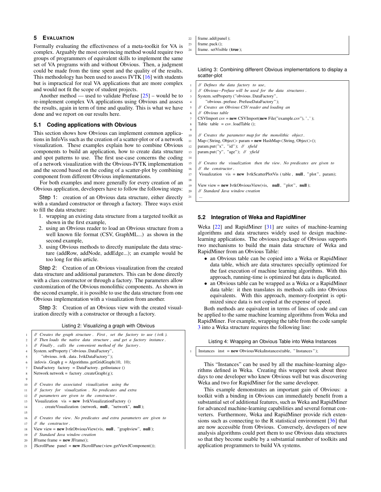# **5 EVALUATION**

Formally evaluating the effectiveness of a meta-toolkit for VA is complex. Arguably the most convincing method would require two groups of programmers of equivalent skills to implement the same set of VA programs with and without Obvious. Then, a judgment could be made from the time spent and the quality of the results. This methodology has been used to assess IVTK [16] with students but is impractical for real VA applications that are more complex and would not fit the scope of student projects.

Another method — used to validate Prefuse  $[25]$  – would be to re-implement complex VA applications using Obvious and assess the results, again in term of time and quality. This is what we have done and we report on our results here.

## **5.1 Coding applications with Obvious**

This section shows how Obvious can implement common applications in InfoVis such as the creation of a scatter-plot or of a network visualization. These examples explain how to combine Obvious components to build an application, how to create data structure and spot patterns to use. The first use-case concerns the coding of a network visualization with the Obvious-IVTK implementation and the second based on the coding of a scatter-plot by combining component from different Obvious implementations.

For both examples and more generally for every creation of an Obvious application, developers have to follow the following steps:

Step 1: creation of an Obvious data structure, either directly with a standard constructor or through a factory. Three ways exist to fill the data structure:

- 1. wrapping an existing data structure from a targeted toolkit as shown in the first example,
- 2. using an Obvious reader to load an Obvious structure from a well known file format (CSV, GraphML...) as shown in the second example,
- 3. using Obvious methods to directly manipulate the data structure (addRow, addNode, addEdge...); an example would be too long for this article.

Step 2: Creation of an Obvious visualization from the created data structure and additional parameters. This can be done directly with a class constructor or through a factory. The parameters allow customization of the Obvious monolithic components. As shown in the second example, it is possible to use the data structure from one Obvious implementation with a visualization from another.

Step 3: Creation of an Obvious view with the created visualization directly with a constructor or through a factory.

Listing 2: Visualizing a graph with Obvious

| 1              | // Creates the graph structure. First, set the factory to use (ivtk).          |
|----------------|--------------------------------------------------------------------------------|
| 2              | // Then loads the native data structure, and get a factory instance.           |
| 3              | // Finally, calls the convenient method of the factory.                        |
| $\overline{4}$ | System. setProperty ("obvious. DataFactory",                                   |
| 5              | "obvious. ivtk. data. IvtkDataFactory");                                       |
| 6              | infovis . Graph $g =$ Algorithms . getGridGraph $(10, 10)$ ;                   |
| 7              | DataFactory $factory = DataFactory$ . getInstance ()                           |
| 8              | Network network = factory . createGraph(g);                                    |
| 9              |                                                                                |
| 10             | // Creates the associated visualization using the                              |
| 11             | // factory for visualization . No predicates and extra                         |
| 12             | $\frac{1}{\sqrt{2}}$ parameters are given to the constructor.                  |
| 13             | Visualization vis = $new$ IvtkVisualizationFactory ()                          |
| 14             | . create Visualization (network, null, "network", null);                       |
| 15             |                                                                                |
| 16             | // Creates the view. No predicates and extra parameters are given to           |
| 17             | $//$ the constructor.                                                          |
| 18             | View view = $new$ IvtkObvious View(vis, $null, "graphview", null);$            |
| 19             | // Standard Java window creation                                               |
| 20             | JFrame frame $=$ <b>new</b> JFrame();                                          |
| 21             | $JScrollPane$ panel = <b>new</b> $JScrollPane$ (view.getView $JComponent()$ ); |

22 frame.add(panel );

23 frame.pack ();

14

 $24$  frame. setVisible (true);

### Listing 3: Combining different Obvious implementations to display a scatter-plot

| $\mathbf{1}$   | // Defines the data factory to use,                                                                                                     |
|----------------|-----------------------------------------------------------------------------------------------------------------------------------------|
| 2              | // Obvious-Prefuse will be used for the data structures.                                                                                |
| 3              | System. setProperty ("obvious. DataFactory",                                                                                            |
| $\overline{4}$ | "obvious. prefuse. PrefuseDataFactory");                                                                                                |
| 5              | // Creates an Obvious CSV reader and loading an                                                                                         |
| 6              | // Obvious table                                                                                                                        |
| $\tau$         | $CSV$ Import csv = new CSVImport(new File("example.csv"), ', ');                                                                        |
| 8              | Table $table = \text{csv}$ . loadTable ();                                                                                              |
| 9              |                                                                                                                                         |
| 10             | // Creates the parameter map for the monolithic object.                                                                                 |
| 11             | $\text{Map} \leq \text{String}, \text{Object} \geq \text{param} = \text{new HashMap} \leq \text{String}, \text{Object} \geq \text{();}$ |
| 12             | param.put("x", "id"); // $xfield$                                                                                                       |
| 13             | param.put("y", "age"); // $vfield$                                                                                                      |
| 14             |                                                                                                                                         |
| 15             | // Creates the visualization then the view. No predicates are given to                                                                  |
| 16             | $//$ the constructor.                                                                                                                   |
| 17             | Visualization vis = $new$ IvtkScatterPlotVis (table, $null, "plot", param);$                                                            |
| 18             |                                                                                                                                         |
| 19             | View view = $new$ IvtkObvious View(vis, $null, "plot", null$ );                                                                         |
| 20             | // Standard Java window creation                                                                                                        |
| 21             |                                                                                                                                         |

#### **5.2 Integration of Weka and RapidMiner**

Weka [22] and RapidMiner [31] are suites of machine-learning algorithms and data structures widely used to design machinelearning applications. The obviousx package of Obvious supports two mechanisms to build the main data structure of Weka and RapidMiner from an Obvious Table:

- an Obvious table can be copied into a Weka or RapidMiner data table, which are data structures specially optimized for the fast execution of machine learning algorithms. With this approach, running-time is optimized but data is duplicated.
- an Obvious table can be wrapped as a Weka or a RapidMiner data table: it then translates its methods calls into Obvious equivalents. With this approach, memory-footprint is optimized since data is not copied at the expense of speed.

Both methods are equivalent in terms of lines of code and can be applied to the same machine learning algorithms from Weka and RapidMiner. For example, wrapping the table from the code sample 3 into a Weka structure requires the following line:

Listing 4: Wrapping an Obvious Table into Weka Instances

Instances inst =  $new$  ObviousWekaInstances(table, "Instances");

This "Instances" can be used by all the machine-learning algorithms defined in Weka. Creating this wrapper took about three days to one developer who knew Obvious well but was discovering Weka and two for RapidMiner for the same developer.

This example demonstrates an important gain of Obvious: a toolkit with a binding in Obvious can immediately benefit from a substantial set of additional features, such as Weka and RapidMiner for advanced machine-learning capabilities and several format converters. Furthermore, Weka and RapidMiner provide rich extensions such as connecting to the R statistical environment [36] that are now accessible from Obvious. Conversely, developers of new analysis algorithms could port them to use Obvious data structures so that they become usable by a substantial number of toolkits and application programmers to build VA systems.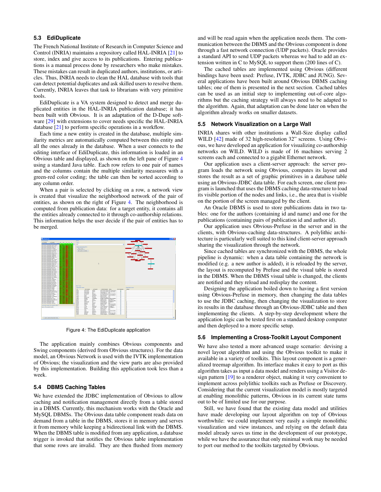# **5.3 EdiDuplicate**

The French National Institute of Research in Computer Science and Control (INRIA) maintains a repository called HAL-INRIA [21] to store, index and give access to its publications. Entering publications is a manual process done by researchers who make mistakes. These mistakes can result in duplicated authors, institutions, or articles. Thus, INRIA needs to clean the HAL database with tools that can detect potential duplicates and ask skilled users to resolve them. Currently, INRIA leaves that task to librarians with very primitive tools.

EdiDuplicate is a VA system designed to detect and merge duplicated entities in the HAL-INRIA publication database; it has been built with Obvious. It is an adaptation of the D-Dupe software [29] with extensions to cover needs specific the HAL-INRIA database [21] to perform specific operations in a workflow.

Each time a new entity is created in the database, multiple similarity metrics are automatically computed between this entity and all the ones already in the database. When a user connects to the editing interface of EdiDuplicate, this information is loaded in an Obvious table and displayed, as shown on the left pane of Figure 4 using a standard Java table. Each row refers to one pair of names and the columns contain the multiple similarity measures with a green-red color coding; the table can then be sorted according to any column order.

When a pair is selected by clicking on a row, a network view is created that visualize the neighborhood network of the pair of entities, as shown on the right of Figure 4. The neighborhood is computed from publication data: for a target entity, it contains all the entities already connected to it through co-authorship relations. This information helps the user decide if the pair of entities has to be merged.



Figure 4: The EdiDuplicate application

The application mainly combines Obvious components and Swing components (derived from Obvious structures). For the data model, an Obvious Network is used with the IVTK implementation of Obvious; the visualization and the view parts are also provided by this implementation. Building this application took less than a week.

# **5.4 DBMS Caching Tables**

We have extended the JDBC implementation of Obvious to allow caching and notification management directly from a table stored in a DBMS. Currently, this mechanism works with the Oracle and MySQL DBMSs. The Obvious data table component reads data on demand from a table in the DBMS, stores it in memory and serves it from memory while keeping a bidirectional link with the DBMS. When the DBMS table is modified from any application, a database trigger is invoked that notifies the Obvious table implementation that some rows are invalid. They are then flushed from memory

and will be read again when the application needs them. The communication between the DBMS and the Obvious component is done through a fast network connection (UDP packets). Oracle provides a standard API to send UDP packets whereas we had to add an extension written in C to MySQL to support them (200 lines of C).

The cached tables are implemented using Obvious (different bindings have been used: Prefuse, IVTK, JDBC and JUNG). Several applications have been built around Obvious DBMS caching tables; one of them is presented in the next section. Cached tables can be used as an initial step to implementing out-of-core algorithms but the caching strategy will always need to be adapted to the algorithm. Again, that adaptation can be done later on when the algorithm already works on smaller datasets.

#### **5.5 Network Visualization on a Large Wall**

INRIA shares with other institutions a Wall-Size display called WILD [42] made of 32 high-resolution 32" screens. Using Obvious, we have developed an application for visualizing co-authorship networks on WILD. WILD is made of 16 machines serving 2 screens each and connected to a gigabit Ethernet network.

Our application uses a client-server approach: the server program loads the network using Obvious, computes its layout and stores the result as a set of graphic primitives in a database table using an Obvious-JDBC data table. For each screen, one client program is launched that uses the DBMS caching data-structure to load its visible portion of the nodes and links, i.e., the area that is visible on the portion of the screen managed by the client.

An Oracle DBMS is used to store publications data in two tables: one for the authors (containing id and name) and one for the publications (containing pairs of publication id and author id).

Our application uses Obvious-Prefuse in the server and in the clients, with Obvious-caching data-structures. A polylithic architecture is particularly well suited to this kind client-server approach sharing the visualization through the network.

Since cached tables are synchronized with the DBMS, the whole pipeline is dynamic: when a data table containing the network is modified (e.g. a new author is added), it is reloaded by the server, the layout is recomputed by Prefuse and the visual table is stored in the DBMS. When the DBMS visual table is changed, the clients are notified and they reload and redisplay the content.

Designing the application boiled down to having a first version using Obvious-Prefuse in memory, then changing the data tables to use the JDBC caching, then changing the visualization to store its results in the database through an Obvious-JDBC table and then implementing the clients. A step-by-step development where the application logic can be tested first on a standard desktop computer and then deployed to a more specific setup.

# **5.6 Implementing a Cross-Toolkit Layout Component**

We have also tested a more advanced usage scenario: devising a novel layout algorithm and using the Obvious toolkit to make it available in a variety of toolkits. This layout component is a generalized treemap algorithm. Its interface makes it easy to port as this algorithm takes as input a data model and renders using a Visitor design pattern [19] to a renderer object, making it very convenient to implement across polylithic toolkits such as Prefuse or Discovery. Considering that the current visualization model is mostly targeted at enabling monolithic patterns, Obvious in its current state turns out to be of limited use for our purpose.

Still, we have found that the existing data model and utilities have made developing our layout algorithm on top of Obvious worthwhile: we could implement very easily a simple monolithic visualization and view instances, and relying on the default data model already saves us time in the development of our prototype, while we have the assurance that only minimal work may be needed to port our method to the toolkits targeted by Obvious.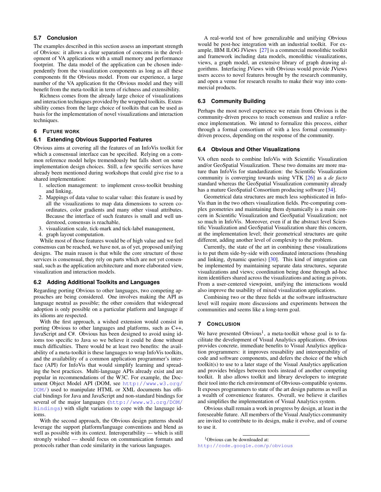# **5.7 Conclusion**

The examples described in this section assess an important strength of Obvious: it allows a clear separation of concerns in the development of VA applications with a small memory and performance footprint. The data model of the application can be chosen independently from the visualization components as long as all these components fit the Obvious model. From our experience, a large number of the VA application fit the Obvious model and they will benefit from the meta-toolkit in term of richness and extensibility.

Richness comes from the already large choice of visualizations and interaction techniques provided by the wrapped toolkits. Extensibility comes from the large choice of toolkits that can be used as basis for the implementation of novel visualizations and interaction techniques.

# **6 FUTURE WORK**

# **6.1 Extending Obvious Supported Features**

Obvious aims at covering all the features of an InfoVis toolkit for which a consensual interface can be specified. Relying on a common reference model helps tremendously but falls short on some implementation design choices. Still, a few specific services have already been mentioned during workshops that could give rise to a shared implementation:

- 1. selection management: to implement cross-toolkit brushing and linking,
- 2. Mappings of data value to scalar value: this feature is used by all the visualizations to map data dimensions to screen coordinates, color gradients and many other visual attributes. Because the interface of such features is small and well understood, consensus is reachable,
- 3. visualization scale, tick-mark and tick-label management,
- 4. graph layout computation.

While most of those features would be of high value and we feel consensus can be reached, we have not, as of yet, proposed unifying designs. The main reason is that while the core structure of those services is consensual, they rely on parts which are not yet consensual, such as the application architecture and more elaborated view, visualization and interaction models.

#### **6.2 Adding Additional Toolkits and Languages**

Regarding porting Obvious to other languages, two competing approaches are being considered. One involves making the API as language neutral as possible; the other considers that widespread adoption is only possible on a particular platform and language if its idioms are respected.

With the first approach, a wished extension would consist in porting Obvious to other languages and platforms, such as C++, JavaScript and C#. Obvious has been designed to avoid using idioms too specific to Java so we believe it could be done without much difficulties. There would be at least two benefits: the availability of a meta-toolkit is these languages to wrap InfoVis toolkits, and the availability of a common application programmer's interface (API) for InfoVis that would simplify learning and spreading the best practices. Multi-language APIs already exist and are popular in recommendations of the W3C. For example, the Document Object Model API (DOM, see [http://www.w3.org/](http://www.w3.org/DOM/) [DOM/](http://www.w3.org/DOM/)) used to manipulate HTML or XML documents has official bindings for Java and JavaScript and non-standard bindings for several of the major languages ([http://www.w3.org/DOM/](http://www.w3.org/DOM/Bindings) [Bindings](http://www.w3.org/DOM/Bindings)) with slight variations to cope with the language idioms.

With the second approach, the Obvious design patterns should leverage the support platform/language conventions and blend as well as possible with its context. Interoperatbility — which is still strongly wished — should focus on communication formats and protocols rather than code similarity in the various languages.

A real-world test of how generalizable and unifying Obvious would be post-hoc integration with an industrial toolkit. For example, IBM ILOG JViews [27] is a commercial monolithic toolkit and framework including data models, monolithic visualizations, views, a graph model, an extensive library of graph drawing algorithms. Interfacing JViews with Obvious would provide JViews users access to novel features brought by the research community, and open a venue for research results to make their way into commercial products.

# **6.3 Community Building**

Perhaps the most novel experience we retain from Obvious is the community-driven process to reach consensus and realize a reference implementation. We intend to formalize this process, either through a formal consortium of with a less formal communitydriven process, depending on the response of the community.

## **6.4 Obvious and Other Visualizations**

VA often needs to combine InfoVis with Scientific Visualization and/or GeoSpatial Visualization. These two domains are more mature than InfoVis for standardization: the Scientific Visualization community is converging towards using VTK [26] as a *de facto* standard whereas the GeoSpatial Visualization community already has a mature GeoSpatial Consortium producing software [34].

Geometrical data structures are much less sophisticated in Info-Vis than in the two others visualization fields. Pre-computing complex geometries and maintaining them dynamically is a main concern in Scientific Visualization and GeoSpatial Visualization; not so much in InfoVis. Moreover, even if at the abstract level Scientific Visualization and GeoSpatial Visualization share this concern, at the implementation level; their geometrical structures are quite different, adding another level of complexity to the problem.

Currently, the state of the art in combining these visualizations is to put them side-by-side with coordinated interactions (brushing and linking, dynamic queries) [30]. This kind of integration can be implemented by maintaining separate data structures, separate visualizations and views; coordination being done through ad-hoc item identifiers shared across the visualizations and acting as pivots. From a user-centered viewpoint, unifying the interactions would also improve the usability of mixed visualization applications.

Combining two or the three fields at the software infrastructure level will require more discussions and experiments between the communities and seems like a long-term goal.

#### **7 CONCLUSION**

We have presented Obvious<sup>1</sup>, a meta-toolkit whose goal is to facilitate the development of Visual Analytics applications. Obvious provides concrete, immediate benefits to Visual Analytics application programmers: it improves reusability and interoperability of code and software components, and defers the choice of the which toolkit(s) to use to a later stage of the Visual Analytics application and provides bridges between tools instead of another competing toolkit. It also allows toolkit and library developers to integrate their tool into the rich environment of Obvious-compatible systems. It exposes programmers to state of the art design patterns as well as a wealth of convenience features. Overall, we believe it clarifies and simplifies the implementation of Visual Analytics system.

Obvious shall remain a work in progress by design, at least in the foreseeable future. All members of the Visual Analytics community are invited to contribute to its design, make it evolve, and of course to use it.

<sup>1</sup>Obvious can be downloaded at: <http://code.google.com/p/obvious>